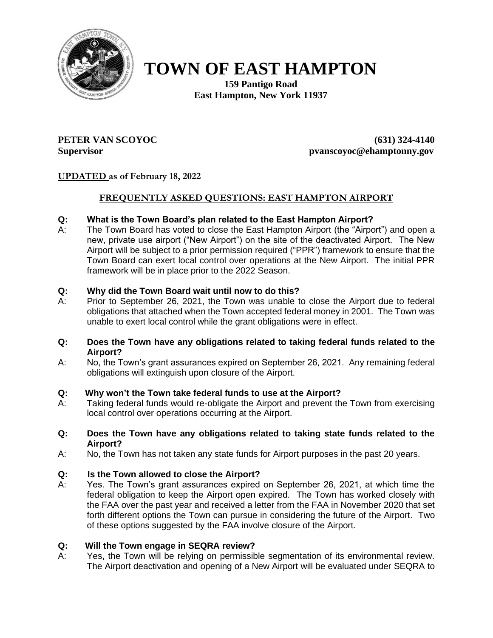

# **TOWN OF EAST HAMPTON**

**159 Pantigo Road East Hampton, New York 11937**

**PETER VAN SCOYOC (631) 324-4140 Supervisor pvanscoyoc@ehamptonny.gov**

# **UPDATED as of February 18, 2022**

## **FREQUENTLY ASKED QUESTIONS: EAST HAMPTON AIRPORT**

#### **Q: What is the Town Board's plan related to the East Hampton Airport?**

A: The Town Board has voted to close the East Hampton Airport (the "Airport") and open a new, private use airport ("New Airport") on the site of the deactivated Airport. The New Airport will be subject to a prior permission required ("PPR") framework to ensure that the Town Board can exert local control over operations at the New Airport. The initial PPR framework will be in place prior to the 2022 Season.

#### **Q: Why did the Town Board wait until now to do this?**

A: Prior to September 26, 2021, the Town was unable to close the Airport due to federal obligations that attached when the Town accepted federal money in 2001. The Town was unable to exert local control while the grant obligations were in effect.

#### **Q: Does the Town have any obligations related to taking federal funds related to the Airport?**

A: No, the Town's grant assurances expired on September 26, 2021. Any remaining federal obligations will extinguish upon closure of the Airport.

#### **Q: Why won't the Town take federal funds to use at the Airport?**

A: Taking federal funds would re-obligate the Airport and prevent the Town from exercising local control over operations occurring at the Airport.

#### **Q: Does the Town have any obligations related to taking state funds related to the Airport?**

A: No, the Town has not taken any state funds for Airport purposes in the past 20 years.

#### **Q: Is the Town allowed to close the Airport?**

A: Yes. The Town's grant assurances expired on September 26, 2021, at which time the federal obligation to keep the Airport open expired. The Town has worked closely with the FAA over the past year and received a letter from the FAA in November 2020 that set forth different options the Town can pursue in considering the future of the Airport. Two of these options suggested by the FAA involve closure of the Airport.

#### **Q: Will the Town engage in SEQRA review?**

A: Yes, the Town will be relying on permissible segmentation of its environmental review. The Airport deactivation and opening of a New Airport will be evaluated under SEQRA to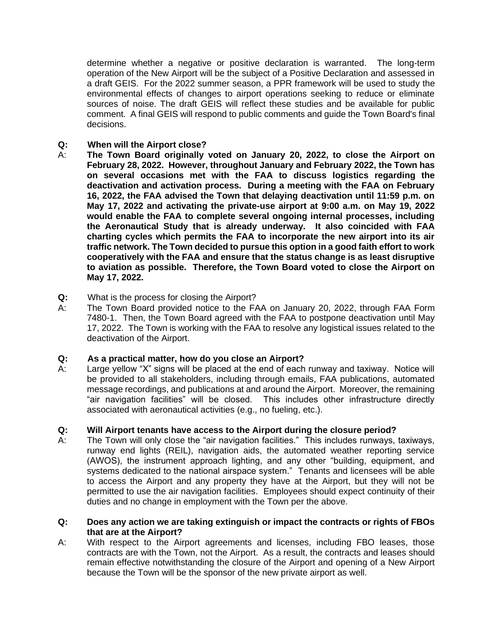determine whether a negative or positive declaration is warranted. The long-term operation of the New Airport will be the subject of a Positive Declaration and assessed in a draft GEIS. For the 2022 summer season, a PPR framework will be used to study the environmental effects of changes to airport operations seeking to reduce or eliminate sources of noise. The draft GEIS will reflect these studies and be available for public comment. A final GEIS will respond to public comments and guide the Town Board's final decisions.

# **Q: When will the Airport close?**

- A: **The Town Board originally voted on January 20, 2022, to close the Airport on February 28, 2022. However, throughout January and February 2022, the Town has on several occasions met with the FAA to discuss logistics regarding the deactivation and activation process. During a meeting with the FAA on February 16, 2022, the FAA advised the Town that delaying deactivation until 11:59 p.m. on May 17, 2022 and activating the private-use airport at 9:00 a.m. on May 19, 2022 would enable the FAA to complete several ongoing internal processes, including the Aeronautical Study that is already underway. It also coincided with FAA charting cycles which permits the FAA to incorporate the new airport into its air traffic network. The Town decided to pursue this option in a good faith effort to work cooperatively with the FAA and ensure that the status change is as least disruptive to aviation as possible. Therefore, the Town Board voted to close the Airport on May 17, 2022.**
- **Q:** What is the process for closing the Airport?
- A: The Town Board provided notice to the FAA on January 20, 2022, through FAA Form 7480-1. Then, the Town Board agreed with the FAA to postpone deactivation until May 17, 2022. The Town is working with the FAA to resolve any logistical issues related to the deactivation of the Airport.

#### **Q: As a practical matter, how do you close an Airport?**

A: Large yellow "X" signs will be placed at the end of each runway and taxiway. Notice will be provided to all stakeholders, including through emails, FAA publications, automated message recordings, and publications at and around the Airport. Moreover, the remaining "air navigation facilities" will be closed. This includes other infrastructure directly associated with aeronautical activities (e.g., no fueling, etc.).

# **Q: Will Airport tenants have access to the Airport during the closure period?**

A: The Town will only close the "air navigation facilities." This includes runways, taxiways, runway end lights (REIL), navigation aids, the automated weather reporting service (AWOS), the instrument approach lighting, and any other "building, equipment, and systems dedicated to the national airspace system." Tenants and licensees will be able to access the Airport and any property they have at the Airport, but they will not be permitted to use the air navigation facilities. Employees should expect continuity of their duties and no change in employment with the Town per the above.

#### **Q: Does any action we are taking extinguish or impact the contracts or rights of FBOs that are at the Airport?**

A: With respect to the Airport agreements and licenses, including FBO leases, those contracts are with the Town, not the Airport. As a result, the contracts and leases should remain effective notwithstanding the closure of the Airport and opening of a New Airport because the Town will be the sponsor of the new private airport as well.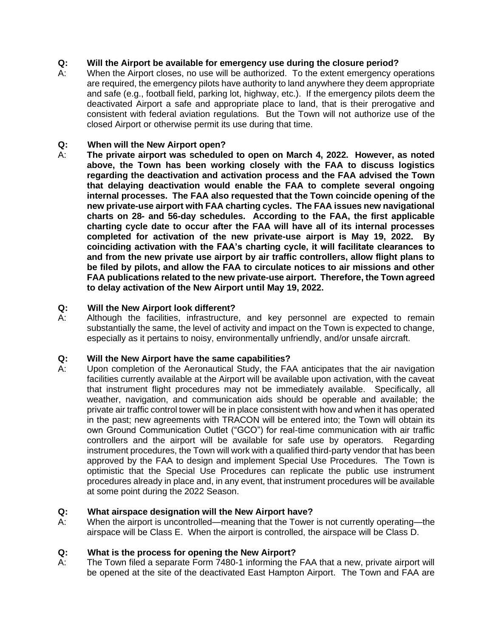# **Q: Will the Airport be available for emergency use during the closure period?**

A: When the Airport closes, no use will be authorized. To the extent emergency operations are required, the emergency pilots have authority to land anywhere they deem appropriate and safe (e.g., football field, parking lot, highway, etc.). If the emergency pilots deem the deactivated Airport a safe and appropriate place to land, that is their prerogative and consistent with federal aviation regulations. But the Town will not authorize use of the closed Airport or otherwise permit its use during that time.

#### **Q: When will the New Airport open?**

A: **The private airport was scheduled to open on March 4, 2022. However, as noted above, the Town has been working closely with the FAA to discuss logistics regarding the deactivation and activation process and the FAA advised the Town that delaying deactivation would enable the FAA to complete several ongoing internal processes. The FAA also requested that the Town coincide opening of the new private-use airport with FAA charting cycles. The FAA issues new navigational charts on 28- and 56-day schedules. According to the FAA, the first applicable charting cycle date to occur after the FAA will have all of its internal processes completed for activation of the new private-use airport is May 19, 2022. By coinciding activation with the FAA's charting cycle, it will facilitate clearances to and from the new private use airport by air traffic controllers, allow flight plans to be filed by pilots, and allow the FAA to circulate notices to air missions and other FAA publications related to the new private-use airport. Therefore, the Town agreed to delay activation of the New Airport until May 19, 2022.** 

#### **Q: Will the New Airport look different?**

A: Although the facilities, infrastructure, and key personnel are expected to remain substantially the same, the level of activity and impact on the Town is expected to change, especially as it pertains to noisy, environmentally unfriendly, and/or unsafe aircraft.

#### **Q: Will the New Airport have the same capabilities?**

A: Upon completion of the Aeronautical Study, the FAA anticipates that the air navigation facilities currently available at the Airport will be available upon activation, with the caveat that instrument flight procedures may not be immediately available. Specifically, all weather, navigation, and communication aids should be operable and available; the private air traffic control tower will be in place consistent with how and when it has operated in the past; new agreements with TRACON will be entered into; the Town will obtain its own Ground Communication Outlet ("GCO") for real-time communication with air traffic controllers and the airport will be available for safe use by operators. Regarding instrument procedures, the Town will work with a qualified third-party vendor that has been approved by the FAA to design and implement Special Use Procedures. The Town is optimistic that the Special Use Procedures can replicate the public use instrument procedures already in place and, in any event, that instrument procedures will be available at some point during the 2022 Season.

#### **Q: What airspace designation will the New Airport have?**

A: When the airport is uncontrolled—meaning that the Tower is not currently operating—the airspace will be Class E. When the airport is controlled, the airspace will be Class D.

# **Q: What is the process for opening the New Airport?**

A: The Town filed a separate Form 7480-1 informing the FAA that a new, private airport will be opened at the site of the deactivated East Hampton Airport. The Town and FAA are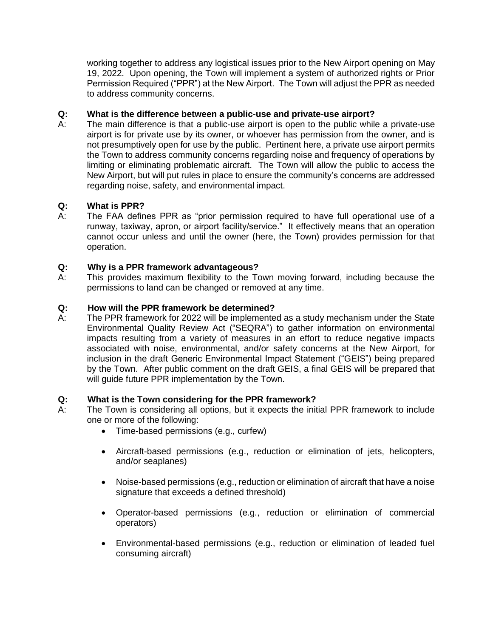working together to address any logistical issues prior to the New Airport opening on May 19, 2022. Upon opening, the Town will implement a system of authorized rights or Prior Permission Required ("PPR") at the New Airport. The Town will adjust the PPR as needed to address community concerns.

### **Q: What is the difference between a public-use and private-use airport?**

A: The main difference is that a public-use airport is open to the public while a private-use airport is for private use by its owner, or whoever has permission from the owner, and is not presumptively open for use by the public. Pertinent here, a private use airport permits the Town to address community concerns regarding noise and frequency of operations by limiting or eliminating problematic aircraft. The Town will allow the public to access the New Airport, but will put rules in place to ensure the community's concerns are addressed regarding noise, safety, and environmental impact.

## **Q: What is PPR?**

A: The FAA defines PPR as "prior permission required to have full operational use of a runway, taxiway, apron, or airport facility/service." It effectively means that an operation cannot occur unless and until the owner (here, the Town) provides permission for that operation.

#### **Q: Why is a PPR framework advantageous?**

A: This provides maximum flexibility to the Town moving forward, including because the permissions to land can be changed or removed at any time.

## **Q: How will the PPR framework be determined?**

A: The PPR framework for 2022 will be implemented as a study mechanism under the State Environmental Quality Review Act ("SEQRA") to gather information on environmental impacts resulting from a variety of measures in an effort to reduce negative impacts associated with noise, environmental, and/or safety concerns at the New Airport, for inclusion in the draft Generic Environmental Impact Statement ("GEIS") being prepared by the Town. After public comment on the draft GEIS, a final GEIS will be prepared that will guide future PPR implementation by the Town.

#### **Q: What is the Town considering for the PPR framework?**

- A: The Town is considering all options, but it expects the initial PPR framework to include one or more of the following:
	- Time-based permissions (e.g., curfew)
	- Aircraft-based permissions (e.g., reduction or elimination of jets, helicopters, and/or seaplanes)
	- Noise-based permissions (e.g., reduction or elimination of aircraft that have a noise signature that exceeds a defined threshold)
	- Operator-based permissions (e.g., reduction or elimination of commercial operators)
	- Environmental-based permissions (e.g., reduction or elimination of leaded fuel consuming aircraft)